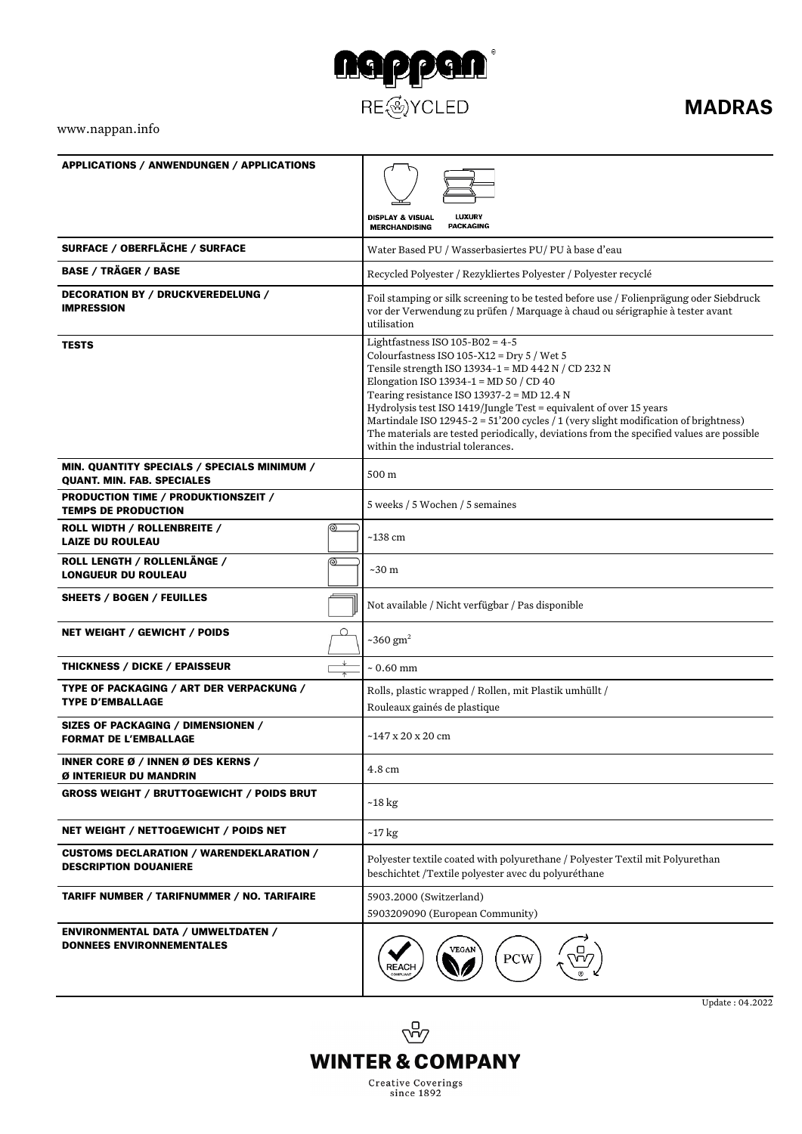

## **MADRAS**

## www.nappan.info

| <b>APPLICATIONS / ANWENDUNGEN / APPLICATIONS</b>                                 |                                                                                                                                                                                                                                                                                                                                                                                                                                                                                                                                 |
|----------------------------------------------------------------------------------|---------------------------------------------------------------------------------------------------------------------------------------------------------------------------------------------------------------------------------------------------------------------------------------------------------------------------------------------------------------------------------------------------------------------------------------------------------------------------------------------------------------------------------|
|                                                                                  |                                                                                                                                                                                                                                                                                                                                                                                                                                                                                                                                 |
|                                                                                  | <b>DISPLAY &amp; VISUAL</b><br><b>LUXURY</b>                                                                                                                                                                                                                                                                                                                                                                                                                                                                                    |
|                                                                                  | <b>PACKAGING</b><br><b>MERCHANDISING</b>                                                                                                                                                                                                                                                                                                                                                                                                                                                                                        |
| SURFACE / OBERFLÄCHE / SURFACE                                                   | Water Based PU / Wasserbasiertes PU / PU à base d'eau                                                                                                                                                                                                                                                                                                                                                                                                                                                                           |
| <b>BASE / TRÄGER / BASE</b>                                                      | Recycled Polyester / Rezykliertes Polyester / Polyester recyclé                                                                                                                                                                                                                                                                                                                                                                                                                                                                 |
| <b>DECORATION BY / DRUCKVEREDELUNG /</b><br><b>IMPRESSION</b>                    | Foil stamping or silk screening to be tested before use / Folienprägung oder Siebdruck<br>vor der Verwendung zu prüfen / Marquage à chaud ou sérigraphie à tester avant<br>utilisation                                                                                                                                                                                                                                                                                                                                          |
| <b>TESTS</b>                                                                     | Lightfastness ISO $105 - B02 = 4 - 5$<br>Colourfastness ISO 105-X12 = Dry 5 / Wet 5<br>Tensile strength ISO 13934-1 = MD 442 N / CD 232 N<br>Elongation ISO 13934-1 = MD 50 / CD 40<br>Tearing resistance ISO 13937-2 = MD 12.4 N<br>Hydrolysis test ISO 1419/Jungle Test = equivalent of over 15 years<br>Martindale ISO 12945-2 = 51'200 cycles / 1 (very slight modification of brightness)<br>The materials are tested periodically, deviations from the specified values are possible<br>within the industrial tolerances. |
| MIN. QUANTITY SPECIALS / SPECIALS MINIMUM /<br><b>QUANT. MIN. FAB. SPECIALES</b> | 500 m                                                                                                                                                                                                                                                                                                                                                                                                                                                                                                                           |
| PRODUCTION TIME / PRODUKTIONSZEIT /<br><b>TEMPS DE PRODUCTION</b>                | 5 weeks / 5 Wochen / 5 semaines                                                                                                                                                                                                                                                                                                                                                                                                                                                                                                 |
| ROLL WIDTH / ROLLENBREITE /<br>⊚                                                 | ~138cm                                                                                                                                                                                                                                                                                                                                                                                                                                                                                                                          |
| <b>LAIZE DU ROULEAU</b><br>ROLL LENGTH / ROLLENLÄNGE /<br>(0)                    |                                                                                                                                                                                                                                                                                                                                                                                                                                                                                                                                 |
| <b>LONGUEUR DU ROULEAU</b>                                                       | $\sim$ 30 m                                                                                                                                                                                                                                                                                                                                                                                                                                                                                                                     |
| SHEETS / BOGEN / FEUILLES                                                        | Not available / Nicht verfügbar / Pas disponible                                                                                                                                                                                                                                                                                                                                                                                                                                                                                |
| NET WEIGHT / GEWICHT / POIDS                                                     | ~360 $gm2$                                                                                                                                                                                                                                                                                                                                                                                                                                                                                                                      |
| <b>THICKNESS / DICKE / EPAISSEUR</b>                                             | $\sim 0.60 \text{ mm}$                                                                                                                                                                                                                                                                                                                                                                                                                                                                                                          |
| TYPE OF PACKAGING / ART DER VERPACKUNG /<br><b>TYPE D'EMBALLAGE</b>              | Rolls, plastic wrapped / Rollen, mit Plastik umhüllt /                                                                                                                                                                                                                                                                                                                                                                                                                                                                          |
|                                                                                  | Rouleaux gainés de plastique                                                                                                                                                                                                                                                                                                                                                                                                                                                                                                    |
| SIZES OF PACKAGING / DIMENSIONEN /<br><b>FORMAT DE L'EMBALLAGE</b>               | $~147 \times 20 \times 20 \text{ cm}$                                                                                                                                                                                                                                                                                                                                                                                                                                                                                           |
| <b>INNER CORE Ø / INNEN Ø DES KERNS /</b><br>Ø INTERIEUR DU MANDRIN              | 4.8 cm                                                                                                                                                                                                                                                                                                                                                                                                                                                                                                                          |
| <b>GROSS WEIGHT / BRUTTOGEWICHT / POIDS BRUT</b>                                 | $~18~\mathrm{kg}$                                                                                                                                                                                                                                                                                                                                                                                                                                                                                                               |
| NET WEIGHT / NETTOGEWICHT / POIDS NET                                            | $\sim$ 17 kg                                                                                                                                                                                                                                                                                                                                                                                                                                                                                                                    |
| <b>CUSTOMS DECLARATION / WARENDEKLARATION /</b><br><b>DESCRIPTION DOUANIERE</b>  | Polyester textile coated with polyurethane / Polyester Textil mit Polyurethan<br>beschichtet /Textile polyester avec du polyuréthane                                                                                                                                                                                                                                                                                                                                                                                            |
| <b>TARIFF NUMBER / TARIFNUMMER / NO. TARIFAIRE</b>                               | 5903.2000 (Switzerland)                                                                                                                                                                                                                                                                                                                                                                                                                                                                                                         |
|                                                                                  | 5903209090 (European Community)                                                                                                                                                                                                                                                                                                                                                                                                                                                                                                 |
| ENVIRONMENTAL DATA / UMWELTDATEN /<br><b>DONNEES ENVIRONNEMENTALES</b>           | VEGAN<br>PCW<br>REACH                                                                                                                                                                                                                                                                                                                                                                                                                                                                                                           |



Update : 04.2022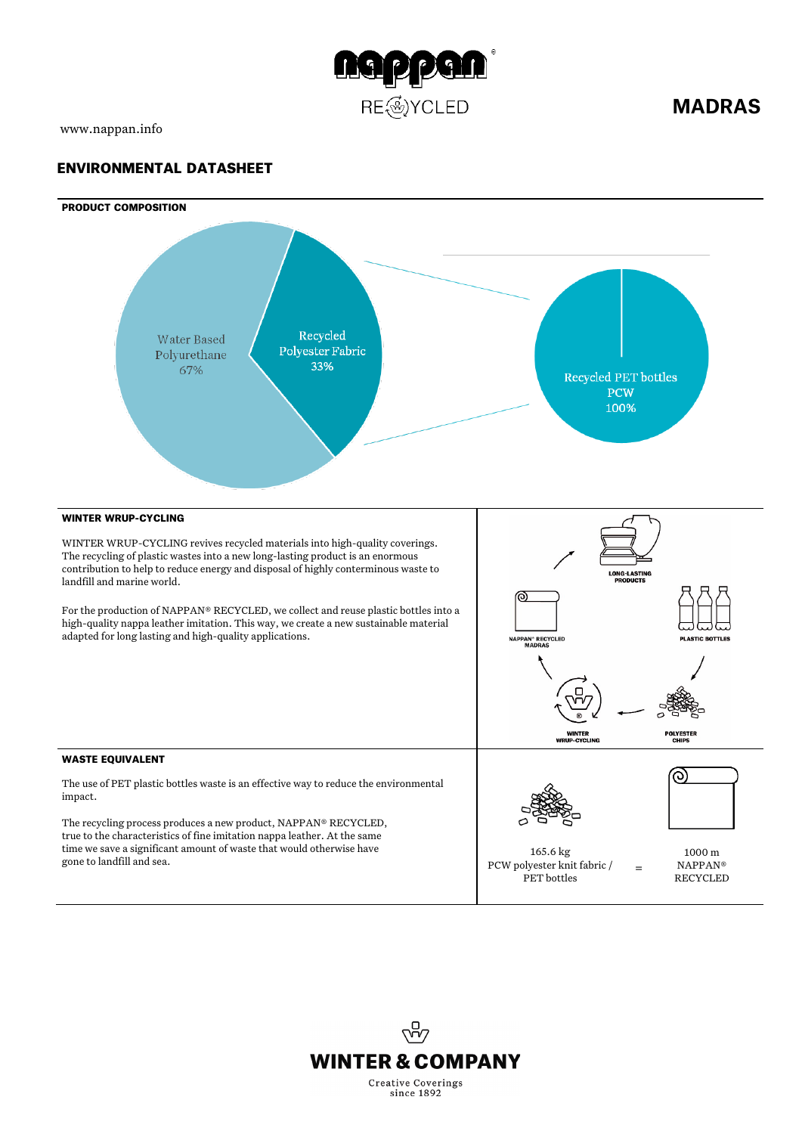

**MADRAS**

## www.nappan.info

## ENVIRONMENTAL DATASHEET